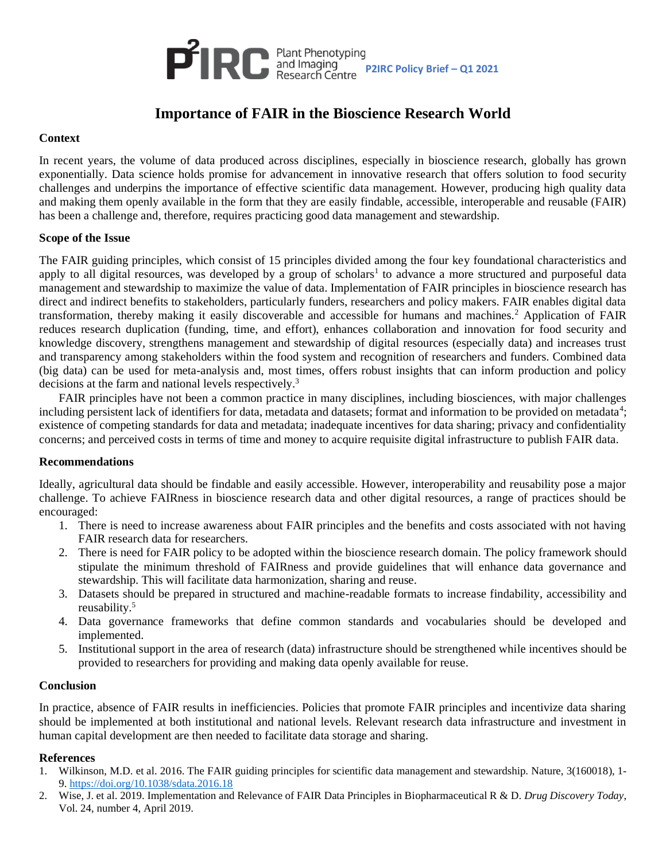

# **Importance of FAIR in the Bioscience Research World**

## **Context**

In recent years, the volume of data produced across disciplines, especially in bioscience research, globally has grown exponentially. Data science holds promise for advancement in innovative research that offers solution to food security challenges and underpins the importance of effective scientific data management. However, producing high quality data and making them openly available in the form that they are easily findable, accessible, interoperable and reusable (FAIR) has been a challenge and, therefore, requires practicing good data management and stewardship.

### **Scope of the Issue**

The FAIR guiding principles, which consist of 15 principles divided among the four key foundational characteristics and apply to all digital resources, was developed by a group of scholars<sup>1</sup> to advance a more structured and purposeful data management and stewardship to maximize the value of data. Implementation of FAIR principles in bioscience research has direct and indirect benefits to stakeholders, particularly funders, researchers and policy makers. FAIR enables digital data transformation, thereby making it easily discoverable and accessible for humans and machines.<sup>2</sup> Application of FAIR reduces research duplication (funding, time, and effort), enhances collaboration and innovation for food security and knowledge discovery, strengthens management and stewardship of digital resources (especially data) and increases trust and transparency among stakeholders within the food system and recognition of researchers and funders. Combined data (big data) can be used for meta-analysis and, most times, offers robust insights that can inform production and policy decisions at the farm and national levels respectively.<sup>3</sup>

FAIR principles have not been a common practice in many disciplines, including biosciences, with major challenges including persistent lack of identifiers for data, metadata and datasets; format and information to be provided on metadata<sup>4</sup>; existence of competing standards for data and metadata; inadequate incentives for data sharing; privacy and confidentiality concerns; and perceived costs in terms of time and money to acquire requisite digital infrastructure to publish FAIR data.

### **Recommendations**

Ideally, agricultural data should be findable and easily accessible. However, interoperability and reusability pose a major challenge. To achieve FAIRness in bioscience research data and other digital resources, a range of practices should be encouraged:

- 1. There is need to increase awareness about FAIR principles and the benefits and costs associated with not having FAIR research data for researchers.
- 2. There is need for FAIR policy to be adopted within the bioscience research domain. The policy framework should stipulate the minimum threshold of FAIRness and provide guidelines that will enhance data governance and stewardship. This will facilitate data harmonization, sharing and reuse.
- 3. Datasets should be prepared in structured and machine-readable formats to increase findability, accessibility and reusability.<sup>5</sup>
- 4. Data governance frameworks that define common standards and vocabularies should be developed and implemented.
- 5. Institutional support in the area of research (data) infrastructure should be strengthened while incentives should be provided to researchers for providing and making data openly available for reuse.

### **Conclusion**

In practice, absence of FAIR results in inefficiencies. Policies that promote FAIR principles and incentivize data sharing should be implemented at both institutional and national levels. Relevant research data infrastructure and investment in human capital development are then needed to facilitate data storage and sharing.

### **References**

- 1. Wilkinson, M.D. et al. 2016. The FAIR guiding principles for scientific data management and stewardship. Nature, 3(160018), 1- 9.<https://doi.org/10.1038/sdata.2016.18>
- 2. Wise, J. et al. 2019. Implementation and Relevance of FAIR Data Principles in Biopharmaceutical R & D. *Drug Discovery Today*, Vol. 24, number 4, April 2019.